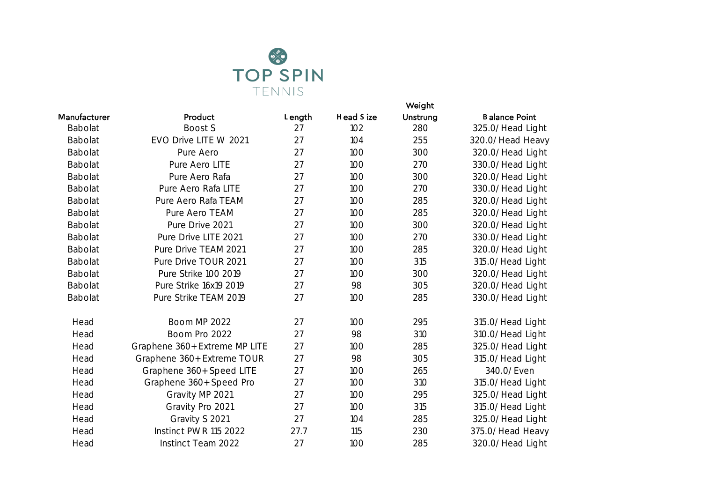

|                |                               |        | Weight     |          |                      |  |
|----------------|-------------------------------|--------|------------|----------|----------------------|--|
| Manufacturer   | Product                       | Length | Head S ize | Unstrung | <b>Balance Point</b> |  |
| Babolat        | Boost S                       | 27     | 102        | 280      | 325.0/Head Light     |  |
| Babolat        | EVO Drive LITE W 2021         | 27     | 104        | 255      | 320.0/Head Heavy     |  |
| Babolat        | Pure Aero                     | 27     | 100        | 300      | 320.0/Head Light     |  |
| Babolat        | Pure Aero LITE                | 27     | 100        | 270      | 330.0/Head Light     |  |
| Babolat        | Pure Aero Rafa                | 27     | 100        | 300      | 320.0/Head Light     |  |
| <b>Babolat</b> | Pure Aero Rafa LITE           | 27     | 100        | 270      | 330.0/Head Light     |  |
| <b>Babolat</b> | Pure Aero Rafa TEAM           | 27     | 100        | 285      | 320.0/Head Light     |  |
| <b>Babolat</b> | Pure Aero TEAM                | 27     | 100        | 285      | 320.0/Head Light     |  |
| <b>Babolat</b> | Pure Drive 2021               | 27     | 100        | 300      | 320.0/Head Light     |  |
| <b>Babolat</b> | Pure Drive LITE 2021          | 27     | 100        | 270      | 330.0/Head Light     |  |
| <b>Babolat</b> | Pure Drive TEAM 2021          | 27     | 100        | 285      | 320.0/Head Light     |  |
| <b>Babolat</b> | Pure Drive TOUR 2021          | 27     | 100        | 315      | 315.0/Head Light     |  |
| <b>Babolat</b> | Pure Strike 100 2019          | 27     | 100        | 300      | 320.0/Head Light     |  |
| Babolat        | Pure Strike 16x19 2019        | 27     | 98         | 305      | 320.0/Head Light     |  |
| <b>Babolat</b> | Pure Strike TEAM 2019         | 27     | 100        | 285      | 330.0/Head Light     |  |
| Head           | <b>Boom MP 2022</b>           | 27     | 100        | 295      | 315.0/Head Light     |  |
| Head           | Boom Pro 2022                 | 27     | 98         | 310      | 310.0/Head Light     |  |
| Head           | Graphene 360+ Extreme MP LITE | 27     | 100        | 285      | 325.0/Head Light     |  |
| Head           | Graphene 360+ Extreme TOUR    | 27     | 98         | 305      | 315.0/Head Light     |  |
| Head           | Graphene 360+ Speed LITE      | 27     | 100        | 265      | 340.0/Even           |  |
| Head           | Graphene 360+ Speed Pro       | 27     | 100        | 310      | 315.0/Head Light     |  |
| Head           | Gravity MP 2021               | 27     | 100        | 295      | 325.0/Head Light     |  |
| Head           | Gravity Pro 2021              | 27     | 100        | 315      | 315.0/Head Light     |  |
| Head           | Gravity S 2021                | 27     | 104        | 285      | 325.0/Head Light     |  |
| Head           | Instinct PWR 115 2022         | 27.7   | 115        | 230      | 375.0/Head Heavy     |  |
| Head           | Instinct Team 2022            | 27     | 100        | 285      | 320.0/Head Light     |  |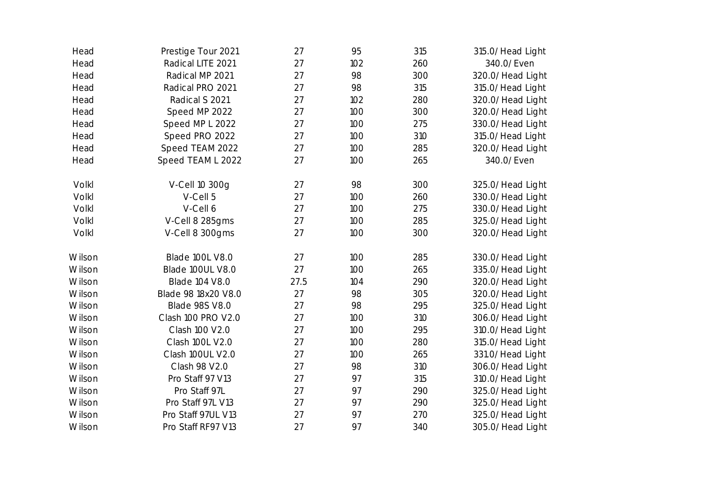| Head   | Prestige Tour 2021     | 27   | 95  | 315 | 315.0/Head Light |
|--------|------------------------|------|-----|-----|------------------|
| Head   | Radical LITE 2021      | 27   | 102 | 260 | 340.0/Even       |
| Head   | Radical MP 2021        | 27   | 98  | 300 | 320.0/Head Light |
| Head   | Radical PRO 2021       | 27   | 98  | 315 | 315.0/Head Light |
| Head   | Radical S 2021         | 27   | 102 | 280 | 320.0/Head Light |
| Head   | Speed MP 2022          | 27   | 100 | 300 | 320.0/Head Light |
| Head   | Speed MP L 2022        | 27   | 100 | 275 | 330.0/Head Light |
| Head   | Speed PRO 2022         | 27   | 100 | 310 | 315.0/Head Light |
| Head   | Speed TEAM 2022        | 27   | 100 | 285 | 320.0/Head Light |
| Head   | Speed TEAM L 2022      | 27   | 100 | 265 | 340.0/Even       |
| Volkl  | V-Cell 10 300g         | 27   | 98  | 300 | 325.0/Head Light |
| Volkl  | V-Cell 5               | 27   | 100 | 260 | 330.0/Head Light |
| Volkl  | V-Cell 6               | 27   | 100 | 275 | 330.0/Head Light |
| Volkl  | V-Cell 8 285gms        | 27   | 100 | 285 | 325.0/Head Light |
| Volkl  | V-Cell 8 300gms        | 27   | 100 | 300 | 320.0/Head Light |
| Wilson | <b>Blade 100L V8.0</b> | 27   | 100 | 285 | 330.0/Head Light |
| Wilson | Blade 100UL V8.0       | 27   | 100 | 265 | 335.0/Head Light |
| Wilson | <b>Blade 104 V8.0</b>  | 27.5 | 104 | 290 | 320.0/Head Light |
| Wilson | Blade 98 18x20 V8.0    | 27   | 98  | 305 | 320.0/Head Light |
| Wilson | <b>Blade 98S V8.0</b>  | 27   | 98  | 295 | 325.0/Head Light |
| Wilson | Clash 100 PRO V2.0     | 27   | 100 | 310 | 306.0/Head Light |
| Wilson | Clash 100 V2.0         | 27   | 100 | 295 | 310.0/Head Light |
| Wilson | Clash 100L V2.0        | 27   | 100 | 280 | 315.0/Head Light |
| Wilson | Clash 100UL V2.0       | 27   | 100 | 265 | 331.0/Head Light |
| Wilson | Clash 98 V2.0          | 27   | 98  | 310 | 306.0/Head Light |
| Wilson | Pro Staff 97 V13       | 27   | 97  | 315 | 310.0/Head Light |
| Wilson | Pro Staff 97L          | 27   | 97  | 290 | 325.0/Head Light |
| Wilson | Pro Staff 97L V13      | 27   | 97  | 290 | 325.0/Head Light |
| Wilson | Pro Staff 97UL V13     | 27   | 97  | 270 | 325.0/Head Light |
| Wilson | Pro Staff RF97 V13     | 27   | 97  | 340 | 305.0/Head Light |